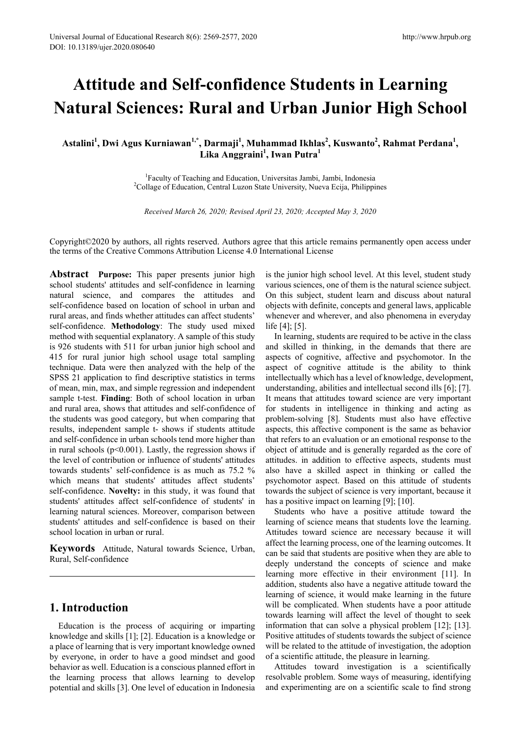# **Attitude and Self-confidence Students in Learning Natural Sciences: Rural and Urban Junior High School**

 $A$ stalini<sup>1</sup>, Dwi Agus Kurniawan<sup>1,\*</sup>, Darmaji<sup>1</sup>, Muhammad Ikhlas<sup>2</sup>, Kuswanto<sup>2</sup>, Rahmat Perdana<sup>1</sup>, **Lika Anggraini<sup>1</sup> , Iwan Putra<sup>1</sup>**

> <sup>1</sup> Faculty of Teaching and Education, Universitas Jambi, Jambi, Indonesia<br><sup>2</sup>Collage of Education, Central Luzon State University, Nuava Ecija, Philippi <sup>2</sup>Collage of Education, Central Luzon State University, Nueva Ecija, Philippines

*Received March 26, 2020; Revised April 23, 2020; Accepted May 3, 2020*

Copyright©2020 by authors, all rights reserved. Authors agree that this article remains permanently open access under the terms of the Creative Commons Attribution License 4.0 International License

Abstract Purpose: This paper presents junior high school students' attitudes and self-confidence in learning natural science, and compares the attitudes and self-confidence based on location of school in urban and rural areas, and finds whether attitudes can affect students' self-confidence. **Methodology**: The study used mixed method with sequential explanatory. A sample of this study is 926 students with 511 for urban junior high school and 415 for rural junior high school usage total sampling technique. Data were then analyzed with the help of the SPSS 21 application to find descriptive statistics in terms of mean, min, max, and simple regression and independent sample t-test. **Finding**: Both of school location in urban and rural area, shows that attitudes and self-confidence of the students was good category, but when comparing that results, independent sample t- shows if students attitude and self-confidence in urban schools tend more higher than in rural schools  $(p<0.001)$ . Lastly, the regression shows if the level of contribution or influence of students' attitudes towards students' self-confidence is as much as 75.2 % which means that students' attitudes affect students' self-confidence. **Novelty:** in this study, it was found that students' attitudes affect self-confidence of students' in learning natural sciences. Moreover, comparison between students' attitudes and self-confidence is based on their school location in urban or rural.

**Keywords** Attitude, Natural towards Science, Urban, Rural, Self-confidence

## **1. Introduction**

Education is the process of acquiring or imparting knowledge and skills [1]; [2]. Education is a knowledge or a place of learning that is very important knowledge owned by everyone, in order to have a good mindset and good behavior as well. Education is a conscious planned effort in the learning process that allows learning to develop potential and skills [3]. One level of education in Indonesia is the junior high school level. At this level, student study various sciences, one of them is the natural science subject. On this subject, student learn and discuss about natural objects with definite, concepts and general laws, applicable whenever and wherever, and also phenomena in everyday life [4]; [5].

In learning, students are required to be active in the class and skilled in thinking, in the demands that there are aspects of cognitive, affective and psychomotor. In the aspect of cognitive attitude is the ability to think intellectually which has a level of knowledge, development, understanding, abilities and intellectual second ills [6]; [7]. It means that attitudes toward science are very important for students in intelligence in thinking and acting as problem-solving [8]. Students must also have effective aspects, this affective component is the same as behavior that refers to an evaluation or an emotional response to the object of attitude and is generally regarded as the core of attitudes. in addition to effective aspects, students must also have a skilled aspect in thinking or called the psychomotor aspect. Based on this attitude of students towards the subject of science is very important, because it has a positive impact on learning [9]; [10].

Students who have a positive attitude toward the learning of science means that students love the learning. Attitudes toward science are necessary because it will affect the learning process, one of the learning outcomes. It can be said that students are positive when they are able to deeply understand the concepts of science and make learning more effective in their environment [11]. In addition, students also have a negative attitude toward the learning of science, it would make learning in the future will be complicated. When students have a poor attitude towards learning will affect the level of thought to seek information that can solve a physical problem [12]; [13]. Positive attitudes of students towards the subject of science will be related to the attitude of investigation, the adoption of a scientific attitude, the pleasure in learning.

Attitudes toward investigation is a scientifically resolvable problem. Some ways of measuring, identifying and experimenting are on a scientific scale to find strong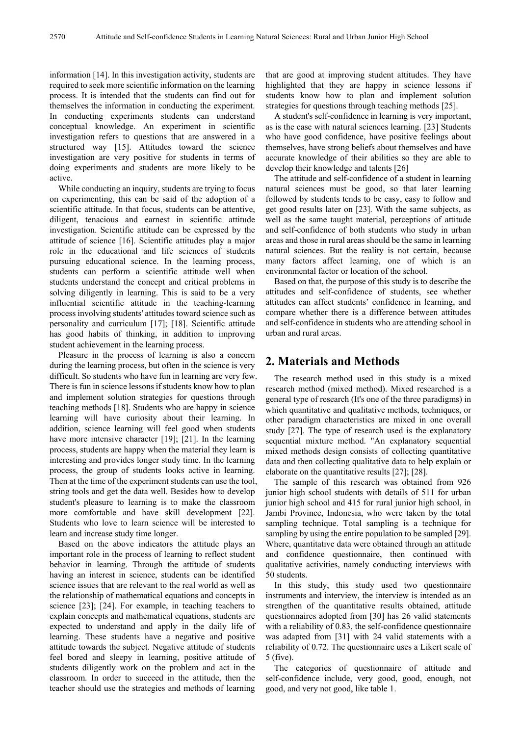information [14]. In this investigation activity, students are required to seek more scientific information on the learning process. It is intended that the students can find out for themselves the information in conducting the experiment. In conducting experiments students can understand conceptual knowledge. An experiment in scientific investigation refers to questions that are answered in a structured way [15]. Attitudes toward the science investigation are very positive for students in terms of doing experiments and students are more likely to be active.

While conducting an inquiry, students are trying to focus on experimenting, this can be said of the adoption of a scientific attitude. In that focus, students can be attentive, diligent, tenacious and earnest in scientific attitude investigation. Scientific attitude can be expressed by the attitude of science [16]. Scientific attitudes play a major role in the educational and life sciences of students pursuing educational science. In the learning process, students can perform a scientific attitude well when students understand the concept and critical problems in solving diligently in learning. This is said to be a very influential scientific attitude in the teaching-learning process involving students' attitudes toward science such as personality and curriculum [17]; [18]. Scientific attitude has good habits of thinking, in addition to improving student achievement in the learning process.

Pleasure in the process of learning is also a concern during the learning process, but often in the science is very difficult. So students who have fun in learning are very few. There is fun in science lessons if students know how to plan and implement solution strategies for questions through teaching methods [18]. Students who are happy in science learning will have curiosity about their learning. In addition, science learning will feel good when students have more intensive character [19]; [21]. In the learning process, students are happy when the material they learn is interesting and provides longer study time. In the learning process, the group of students looks active in learning. Then at the time of the experiment students can use the tool, string tools and get the data well. Besides how to develop student's pleasure to learning is to make the classroom more comfortable and have skill development [22]. Students who love to learn science will be interested to learn and increase study time longer.

Based on the above indicators the attitude plays an important role in the process of learning to reflect student behavior in learning. Through the attitude of students having an interest in science, students can be identified science issues that are relevant to the real world as well as the relationship of mathematical equations and concepts in science [23]; [24]. For example, in teaching teachers to explain concepts and mathematical equations, students are expected to understand and apply in the daily life of learning. These students have a negative and positive attitude towards the subject. Negative attitude of students feel bored and sleepy in learning, positive attitude of students diligently work on the problem and act in the classroom. In order to succeed in the attitude, then the teacher should use the strategies and methods of learning that are good at improving student attitudes. They have highlighted that they are happy in science lessons if students know how to plan and implement solution strategies for questions through teaching methods [25].

A student's self-confidence in learning is very important, as is the case with natural sciences learning. [23] Students who have good confidence, have positive feelings about themselves, have strong beliefs about themselves and have accurate knowledge of their abilities so they are able to develop their knowledge and talents [26]

The attitude and self-confidence of a student in learning natural sciences must be good, so that later learning followed by students tends to be easy, easy to follow and get good results later on [23]. With the same subjects, as well as the same taught material, perceptions of attitude and self-confidence of both students who study in urban areas and those in rural areas should be the same in learning natural sciences. But the reality is not certain, because many factors affect learning, one of which is an environmental factor or location of the school.

Based on that, the purpose of this study is to describe the attitudes and self-confidence of students, see whether attitudes can affect students' confidence in learning, and compare whether there is a difference between attitudes and self-confidence in students who are attending school in urban and rural areas.

# **2. Materials and Methods**

The research method used in this study is a mixed research method (mixed method). Mixed researched is a general type of research (It's one of the three paradigms) in which quantitative and qualitative methods, techniques, or other paradigm characteristics are mixed in one overall study [27]. The type of research used is the explanatory sequential mixture method. "An explanatory sequential mixed methods design consists of collecting quantitative data and then collecting qualitative data to help explain or elaborate on the quantitative results [27]; [28].

The sample of this research was obtained from 926 junior high school students with details of 511 for urban junior high school and 415 for rural junior high school, in Jambi Province, Indonesia, who were taken by the total sampling technique. Total sampling is a technique for sampling by using the entire population to be sampled [29]. Where, quantitative data were obtained through an attitude and confidence questionnaire, then continued with qualitative activities, namely conducting interviews with 50 students.

In this study, this study used two questionnaire instruments and interview, the interview is intended as an strengthen of the quantitative results obtained, attitude questionnaires adopted from [30] has 26 valid statements with a reliability of 0.83, the self-confidence questionnaire was adapted from [31] with 24 valid statements with a reliability of 0.72. The questionnaire uses a Likert scale of 5 (five).

The categories of questionnaire of attitude and self-confidence include, very good, good, enough, not good, and very not good, like table 1.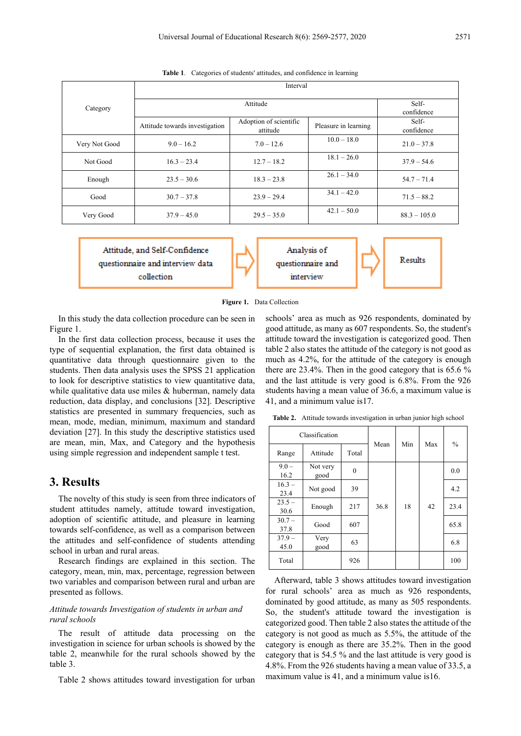|               | Interval                       |                                    |                      |                     |  |  |  |  |  |
|---------------|--------------------------------|------------------------------------|----------------------|---------------------|--|--|--|--|--|
| Category      |                                | Self-<br>confidence                |                      |                     |  |  |  |  |  |
|               | Attitude towards investigation | Adoption of scientific<br>attitude | Pleasure in learning | Self-<br>confidence |  |  |  |  |  |
| Very Not Good | $9.0 - 16.2$                   | $7.0 - 12.6$                       | $10.0 - 18.0$        | $21.0 - 37.8$       |  |  |  |  |  |
| Not Good      | $16.3 - 23.4$                  | $12.7 - 18.2$                      | $18.1 - 26.0$        | $37.9 - 54.6$       |  |  |  |  |  |
| Enough        | $23.5 - 30.6$                  | $18.3 - 23.8$                      | $26.1 - 34.0$        | $54.7 - 71.4$       |  |  |  |  |  |
| Good          | $30.7 - 37.8$                  | $23.9 - 29.4$                      | $34.1 - 42.0$        | $71.5 - 88.2$       |  |  |  |  |  |
| Very Good     | $37.9 - 45.0$                  | $29.5 - 35.0$                      | $42.1 - 50.0$        | $88.3 - 105.0$      |  |  |  |  |  |

**Table 1**. Categories of students' attitudes, and confidence in learning

Attitude, and Self-Confidence questionnaire and interview data collection



**Figure 1.** Data Collection

In this study the data collection procedure can be seen in Figure 1.

In the first data collection process, because it uses the type of sequential explanation, the first data obtained is quantitative data through questionnaire given to the students. Then data analysis uses the SPSS 21 application to look for descriptive statistics to view quantitative data, while qualitative data use miles & huberman, namely data reduction, data display, and conclusions [32]. Descriptive statistics are presented in summary frequencies, such as mean, mode, median, minimum, maximum and standard deviation [27]. In this study the descriptive statistics used are mean, min, Max, and Category and the hypothesis using simple regression and independent sample t test.

## **3. Results**

The novelty of this study is seen from three indicators of student attitudes namely, attitude toward investigation, adoption of scientific attitude, and pleasure in learning towards self-confidence, as well as a comparison between the attitudes and self-confidence of students attending school in urban and rural areas.

Research findings are explained in this section. The category, mean, min, max, percentage, regression between two variables and comparison between rural and urban are presented as follows.

#### *Attitude towards Investigation of students in urban and rural schools*

The result of attitude data processing on the investigation in science for urban schools is showed by the table 2, meanwhile for the rural schools showed by the table 3.

Table 2 shows attitudes toward investigation for urban

schools' area as much as 926 respondents, dominated by good attitude, as many as 607 respondents. So, the student's attitude toward the investigation is categorized good. Then table 2 also states the attitude of the category is not good as much as 4.2%, for the attitude of the category is enough there are 23.4%. Then in the good category that is 65.6 % and the last attitude is very good is 6.8%. From the 926 students having a mean value of 36.6, a maximum value is 41, and a minimum value is17.

**Table 2.** Attitude towards investigation in urban junior high school

|                  | Classification   |              | Mean | Min | Max | $\frac{0}{0}$ |
|------------------|------------------|--------------|------|-----|-----|---------------|
| Range            | Attitude         | Total        |      |     |     |               |
| $9.0 -$<br>16.2  | Not very<br>good | $\mathbf{0}$ |      |     |     | 0.0           |
| $16.3 -$<br>23.4 | Not good         | 39           |      |     |     | 4.2           |
| $23.5 -$<br>30.6 | Enough           | 217          | 36.8 | 18  | 42  | 23.4          |
| $30.7 -$<br>37.8 | Good             | 607          |      |     |     | 65.8          |
| $37.9 -$<br>45.0 | Very<br>good     | 63           |      |     |     | 6.8           |
| Total            |                  | 926          |      |     |     | 100           |

Afterward, table 3 shows attitudes toward investigation for rural schools' area as much as 926 respondents, dominated by good attitude, as many as 505 respondents. So, the student's attitude toward the investigation is categorized good. Then table 2 also states the attitude of the category is not good as much as 5.5%, the attitude of the category is enough as there are 35.2%. Then in the good category that is 54.5 % and the last attitude is very good is 4.8%. From the 926 students having a mean value of 33.5, a maximum value is 41, and a minimum value is16.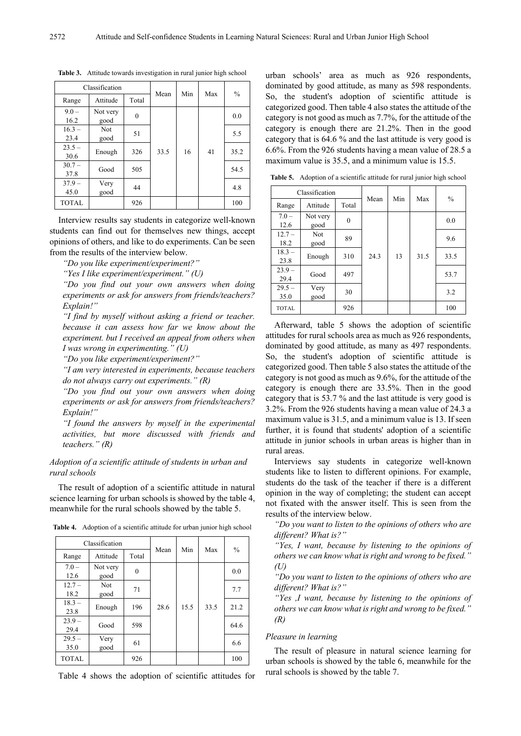|                  | Classification   |          | Mean | Min | Max | $\frac{0}{0}$ |
|------------------|------------------|----------|------|-----|-----|---------------|
| Range            | Attitude         | Total    |      |     |     |               |
| $9.0 -$<br>16.2  | Not very<br>good | $\theta$ |      |     |     | 0.0           |
| $16.3 -$<br>23.4 | Not<br>good      | 51       |      |     |     | 5.5           |
| $23.5 -$<br>30.6 | Enough           | 326      | 33.5 | 16  | 41  | 35.2          |
| $30.7 -$<br>37.8 | Good             | 505      |      |     |     | 54.5          |
| $37.9 -$<br>45.0 | Very<br>good     | 44       |      |     |     | 4.8           |
| <b>TOTAL</b>     |                  | 926      |      |     |     | 100           |

**Table 3.** Attitude towards investigation in rural junior high school

Interview results say students in categorize well-known students can find out for themselves new things, accept opinions of others, and like to do experiments. Can be seen from the results of the interview below.

*"Do you like experiment/experiment?"*

*"Yes I like experiment/experiment." (U)*

*"Do you find out your own answers when doing experiments or ask for answers from friends/teachers? Explain!"*

*"I find by myself without asking a friend or teacher. because it can assess how far we know about the experiment. but I received an appeal from others when I was wrong in experimenting." (U)*

*"Do you like experiment/experiment?"*

*"I am very interested in experiments, because teachers do not always carry out experiments." (R)*

*"Do you find out your own answers when doing experiments or ask for answers from friends/teachers? Explain!"*

*"I found the answers by myself in the experimental activities, but more discussed with friends and teachers." (R)*

#### *Adoption of a scientific attitude of students in urban and rural schools*

The result of adoption of a scientific attitude in natural science learning for urban schools is showed by the table 4, meanwhile for the rural schools showed by the table 5.

**Table 4.** Adoption of a scientific attitude for urban junior high school

|                  | Classification   |          | Mean | Min  |      | $\frac{0}{0}$ |
|------------------|------------------|----------|------|------|------|---------------|
| Range            | Attitude         | Total    |      |      | Max  |               |
| $7.0 -$<br>12.6  | Not very<br>good | $\theta$ |      |      |      | 0.0           |
| $12.7 -$<br>18.2 | Not<br>good      | 71       |      |      |      | 7.7           |
| $18.3 -$<br>23.8 | Enough           | 196      | 28.6 | 15.5 | 33.5 | 21.2          |
| $23.9 -$<br>29.4 | Good             | 598      |      |      |      | 64.6          |
| $29.5 -$<br>35.0 | Very<br>good     | 61       |      |      |      | 6.6           |
| <b>TOTAL</b>     |                  | 926      |      |      |      | 100           |

Table 4 shows the adoption of scientific attitudes for

urban schools' area as much as 926 respondents, dominated by good attitude, as many as 598 respondents. So, the student's adoption of scientific attitude is categorized good. Then table 4 also states the attitude of the category is not good as much as 7.7%, for the attitude of the category is enough there are 21.2%. Then in the good category that is 64.6 % and the last attitude is very good is 6.6%. From the 926 students having a mean value of 28.5 a maximum value is 35.5, and a minimum value is 15.5.

**Table 5.** Adoption of a scientific attitude for rural junior high school

| Classification   |                  | Mean     | Min  | Max | $\frac{0}{0}$ |      |
|------------------|------------------|----------|------|-----|---------------|------|
| Range            | Attitude         | Total    |      |     |               |      |
| $7.0 -$<br>12.6  | Not very<br>good | $\theta$ |      |     |               | 0.0  |
| $12.7 -$<br>18.2 | Not<br>good      | 89       |      |     |               | 9.6  |
| $18.3 -$<br>23.8 | Enough           | 310      | 24.3 | 13  | 31.5          | 33.5 |
| $23.9 -$<br>29.4 | Good             | 497      |      |     |               | 53.7 |
| $29.5 -$<br>35.0 | Very<br>good     | 30       |      |     |               | 3.2  |
| <b>TOTAL</b>     |                  | 926      |      |     |               | 100  |

Afterward, table 5 shows the adoption of scientific attitudes for rural schools area as much as 926 respondents, dominated by good attitude, as many as 497 respondents. So, the student's adoption of scientific attitude is categorized good. Then table 5 also states the attitude of the category is not good as much as 9.6%, for the attitude of the category is enough there are 33.5%. Then in the good category that is 53.7 % and the last attitude is very good is 3.2%. From the 926 students having a mean value of 24.3 a maximum value is 31.5, and a minimum value is 13. If seen further, it is found that students' adoption of a scientific attitude in junior schools in urban areas is higher than in rural areas.

Interviews say students in categorize well-known students like to listen to different opinions. For example, students do the task of the teacher if there is a different opinion in the way of completing; the student can accept not fixated with the answer itself. This is seen from the results of the interview below.

*"Do you want to listen to the opinions of others who are different? What is?"*

*"Yes, I want, because by listening to the opinions of others we can know what is right and wrong to be fixed." (U)*

*"Do you want to listen to the opinions of others who are different? What is?"*

*"Yes ,I want, because by listening to the opinions of others we can know what is right and wrong to be fixed." (R)*

#### *Pleasure in learning*

The result of pleasure in natural science learning for urban schools is showed by the table 6, meanwhile for the rural schools is showed by the table 7.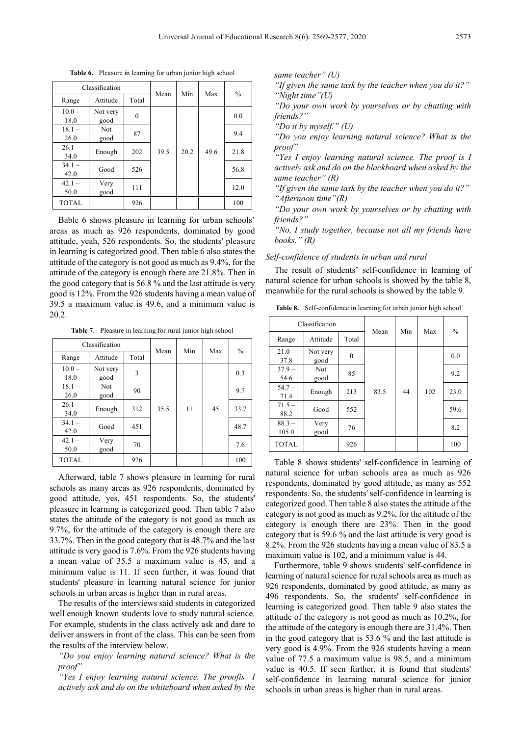| Classification   |                  |          |      | Min  | Max  | $\frac{0}{0}$ |
|------------------|------------------|----------|------|------|------|---------------|
| Range            | Attitude         | Total    | Mean |      |      |               |
| $10.0 -$<br>18.0 | Not very<br>good | $\theta$ |      |      |      | 0.0           |
| $18.1 -$<br>26.0 | Not<br>good      | 87       |      |      |      | 9.4           |
| $26.1 -$<br>34.0 | Enough           | 202      | 39.5 | 20.2 | 49.6 | 21.8          |
| $34.1 -$<br>42.0 | Good             | 526      |      |      |      | 56.8          |
| $42.1 -$<br>50.0 | Very<br>good     | 111      |      |      |      | 12.0          |
| <b>TOTAL</b>     |                  | 926      |      |      |      | 100           |

**Table 6.** Pleasure in learning for urban junior high school

Bable 6 shows pleasure in learning for urban schools' areas as much as 926 respondents, dominated by good attitude, yeah, 526 respondents. So, the students' pleasure in learning is categorized good. Then table 6 also states the attitude of the category is not good as much as 9.4%, for the attitude of the category is enough there are 21.8%. Then in the good category that is 56.8 % and the last attitude is very good is 12%. From the 926 students having a mean value of 39.5 a maximum value is 49.6, and a minimum value is 20.2.

**Table 7**. Pleasure in learning for rural junior high school

|                  | Classification   |       | Mean | Min | Max | $\frac{0}{0}$ |
|------------------|------------------|-------|------|-----|-----|---------------|
| Range            | Attitude         | Total |      |     |     |               |
| $10.0 -$<br>18.0 | Not very<br>good | 3     |      |     |     | 0.3           |
| $18.1 -$<br>26.0 | Not<br>good      | 90    |      |     |     | 9.7           |
| $26.1 -$<br>34.0 | Enough           | 312   | 35.5 | 11  | 45  | 33.7          |
| $34.1 -$<br>42.0 | Good             | 451   |      |     |     | 48.7          |
| $42.1 -$<br>50.0 | Very<br>good     | 70    |      |     |     | 7.6           |
| <b>TOTAL</b>     |                  | 926   |      |     |     | 100           |

Afterward, table 7 shows pleasure in learning for rural schools as many areas as 926 respondents, dominated by good attitude, yes, 451 respondents. So, the students' pleasure in learning is categorized good. Then table 7 also states the attitude of the category is not good as much as 9.7%, for the attitude of the category is enough there are 33.7%. Then in the good category that is 48.7% and the last attitude is very good is 7.6%. From the 926 students having a mean value of 35.5 a maximum value is 45, and a minimum value is 11. If seen further, it was found that students' pleasure in learning natural science for junior schools in urban areas is higher than in rural areas.

The results of the interviews said students in categorized well enough known students love to study natural science. For example, students in the class actively ask and dare to deliver answers in front of the class. This can be seen from the results of the interview below.

*"Do you enjoy learning natural science? What is the proof"*

*"Yes I enjoy learning natural science. The proofis I actively ask and do on the whiteboard when asked by the*  *same teacher" (U)*

*"If given the same task by the teacher when you do it?" "Night time"(U)*

*"Do your own work by yourselves or by chatting with friends?"*

*"Do it by myself." (U)*

*"Do you enjoy learning natural science? What is the proof"*

*"Yes I enjoy learning natural science. The proof is I actively ask and do on the blackboard when asked by the same teacher" (R)*

*"If given the same task by the teacher when you do it?" "Afternoon time"(R)*

*"Do your own work by yourselves or by chatting with friends?"*

*"No, I study together, because not all my friends have books." (R)*

#### *Self-confidence of students in urban and rural*

The result of students' self-confidence in learning of natural science for urban schools is showed by the table 8, meanwhile for the rural schools is showed by the table 9.

|  |  | <b>Table 8.</b> Self-confidence in learning for urban junior high school |  |  |  |  |  |  |  |
|--|--|--------------------------------------------------------------------------|--|--|--|--|--|--|--|
|--|--|--------------------------------------------------------------------------|--|--|--|--|--|--|--|

| Classification    |                    | Mean     | Min  | Max | $\frac{0}{0}$ |      |
|-------------------|--------------------|----------|------|-----|---------------|------|
| Range             | Attitude           | Total    |      |     |               |      |
| $21.0 -$<br>37.8  | Not very<br>good   | $\theta$ |      |     |               | 0.0  |
| $37.9 -$<br>54.6  | <b>Not</b><br>good | 85       |      |     |               | 9.2  |
| $54.7 -$<br>71.4  | Enough             | 213      | 83.5 | 44  | 102           | 23.0 |
| $71.5 -$<br>88.2  | Good               | 552      |      |     |               | 59.6 |
| $88.3 -$<br>105.0 | Very<br>good       | 76       |      |     |               | 8.2  |
| <b>TOTAL</b>      |                    | 926      |      |     |               | 100  |

Table 8 shows students' self-confidence in learning of natural science for urban schools area as much as 926 respondents, dominated by good attitude, as many as 552 respondents. So, the students' self-confidence in learning is categorized good. Then table 8 also states the attitude of the category is not good as much as 9.2%, for the attitude of the category is enough there are 23%. Then in the good category that is 59.6 % and the last attitude is very good is 8.2%. From the 926 students having a mean value of 83.5 a maximum value is 102, and a minimum value is 44.

Furthermore, table 9 shows students' self-confidence in learning of natural science for rural schools area as much as 926 respondents, dominated by good attitude, as many as 496 respondents. So, the students' self-confidence in learning is categorized good. Then table 9 also states the attitude of the category is not good as much as 10.2%, for the attitude of the category is enough there are 31.4%. Then in the good category that is 53.6 % and the last attitude is very good is 4.9%. From the 926 students having a mean value of 77.5 a maximum value is 98.5, and a minimum value is 40.5. If seen further, it is found that students' self-confidence in learning natural science for junior schools in urban areas is higher than in rural areas.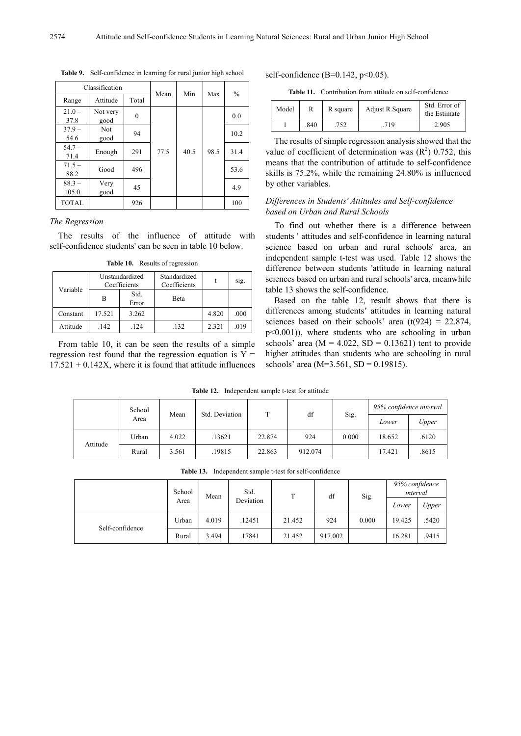|                   | Classification     |          | Mean | Min  | Max  | $\frac{0}{0}$ |
|-------------------|--------------------|----------|------|------|------|---------------|
| Range             | Attitude           | Total    |      |      |      |               |
| $21.0 -$<br>37.8  | Not very<br>good   | $\theta$ |      |      |      | 0.0           |
| $37.9 -$<br>54.6  | <b>Not</b><br>good | 94       |      |      |      | 10.2          |
| $54.7 -$<br>71.4  | Enough             | 291      | 77.5 | 40.5 | 98.5 | 31.4          |
| $71.5 -$<br>88.2  | Good               | 496      |      |      |      | 53.6          |
| $88.3 -$<br>105.0 | Very<br>good       | 45       |      |      |      | 4.9           |
| <b>TOTAL</b>      |                    | 926      |      |      |      | 100           |

**Table 9.** Self-confidence in learning for rural junior high school

#### *The Regression*

The results of the influence of attitude with self-confidence students' can be seen in table 10 below.

**Table 10.** Results of regression

| Variable |        | Unstandardized<br>Coefficients | Standardized<br>Coefficients |       | S1g. |
|----------|--------|--------------------------------|------------------------------|-------|------|
|          | в      | Std.<br>Beta<br>Error          |                              |       |      |
| Constant | 17.521 | 3.262                          |                              | 4.820 | .000 |
| Attitude | .142   | .124                           | .132                         | 2.321 | .019 |

From table 10, it can be seen the results of a simple regression test found that the regression equation is  $Y =$  $17.521 + 0.142X$ , where it is found that attitude influences self-confidence (B=0.142,  $p$ <0.05).

**Table 11.** Contribution from attitude on self-confidence

| Model |     | R square | Adjust R Square | Std. Error of<br>the Estimate |
|-------|-----|----------|-----------------|-------------------------------|
|       | 840 |          | 719             | 2.905                         |

The results of simple regression analysis showed that the value of coefficient of determination was  $(R^2)$  0.752, this means that the contribution of attitude to self-confidence skills is 75.2%, while the remaining 24.80% is influenced by other variables.

#### *Differences in Students' Attitudes and Self-confidence based on Urban and Rural Schools*

To find out whether there is a difference between students ' attitudes and self-confidence in learning natural science based on urban and rural schools' area, an independent sample t-test was used. Table 12 shows the difference between students 'attitude in learning natural sciences based on urban and rural schools' area, meanwhile table 13 shows the self-confidence.

Based on the table 12, result shows that there is differences among students' attitudes in learning natural sciences based on their schools' area  $(t(924) = 22.874$ , p<0.001)), where students who are schooling in urban schools' area ( $M = 4.022$ , SD = 0.13621) tent to provide higher attitudes than students who are schooling in rural schools' area (M=3.561, SD = 0.19815).

**Table 12.** Independent sample t-test for attitude

|          | School<br>Area | Mean  | Std. Deviation | т      | df      |       | 95% confidence interval |       |
|----------|----------------|-------|----------------|--------|---------|-------|-------------------------|-------|
|          |                |       |                |        |         | Sig.  | Lower                   | Upper |
| Attitude | Urban          | 4.022 | .13621         | 22.874 | 924     | 0.000 | 18.652                  | .6120 |
|          | Rural          | 3.561 | .19815         | 22.863 | 912.074 |       | 17.421                  | .8615 |

**Table 13.** Independent sample t-test for self-confidence

|                 | School |       | Std.<br>Deviation | <sup>T</sup> | df      | Sig.  | 95% confidence<br>interval |       |
|-----------------|--------|-------|-------------------|--------------|---------|-------|----------------------------|-------|
| Area            |        | Mean  |                   |              |         |       | Lower                      | Upper |
| Self-confidence | Urban  | 4.019 | .12451            | 21.452       | 924     | 0.000 | 19.425                     | .5420 |
|                 | Rural  | 3.494 | .17841            | 21.452       | 917.002 |       | 16.281                     | .9415 |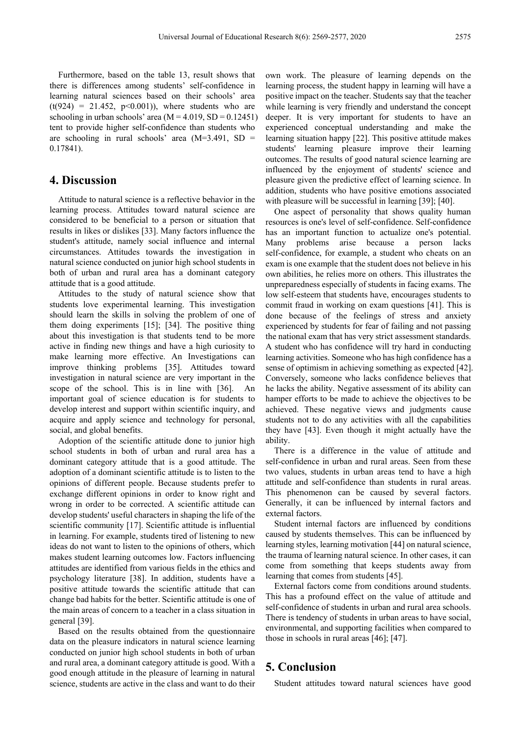Furthermore, based on the table 13, result shows that there is differences among students' self-confidence in learning natural sciences based on their schools' area  $(t(924) = 21.452, p<0.001)$ , where students who are schooling in urban schools' area  $(M = 4.019, SD = 0.12451)$ tent to provide higher self-confidence than students who are schooling in rural schools' area (M=3.491, SD = 0.17841).

## **4. Discussion**

Attitude to natural science is a reflective behavior in the learning process. Attitudes toward natural science are considered to be beneficial to a person or situation that results in likes or dislikes [33]. Many factors influence the student's attitude, namely social influence and internal circumstances. Attitudes towards the investigation in natural science conducted on junior high school students in both of urban and rural area has a dominant category attitude that is a good attitude.

Attitudes to the study of natural science show that students love experimental learning. This investigation should learn the skills in solving the problem of one of them doing experiments [15]; [34]. The positive thing about this investigation is that students tend to be more active in finding new things and have a high curiosity to make learning more effective. An Investigations can improve thinking problems [35]. Attitudes toward investigation in natural science are very important in the scope of the school. This is in line with [36]. An important goal of science education is for students to develop interest and support within scientific inquiry, and acquire and apply science and technology for personal, social, and global benefits.

Adoption of the scientific attitude done to junior high school students in both of urban and rural area has a dominant category attitude that is a good attitude. The adoption of a dominant scientific attitude is to listen to the opinions of different people. Because students prefer to exchange different opinions in order to know right and wrong in order to be corrected. A scientific attitude can develop students' useful characters in shaping the life of the scientific community [17]. Scientific attitude is influential in learning. For example, students tired of listening to new ideas do not want to listen to the opinions of others, which makes student learning outcomes low. Factors influencing attitudes are identified from various fields in the ethics and psychology literature [38]. In addition, students have a positive attitude towards the scientific attitude that can change bad habits for the better. Scientific attitude is one of the main areas of concern to a teacher in a class situation in general [39].

Based on the results obtained from the questionnaire data on the pleasure indicators in natural science learning conducted on junior high school students in both of urban and rural area, a dominant category attitude is good. With a good enough attitude in the pleasure of learning in natural science, students are active in the class and want to do their

own work. The pleasure of learning depends on the learning process, the student happy in learning will have a positive impact on the teacher. Students say that the teacher while learning is very friendly and understand the concept deeper. It is very important for students to have an experienced conceptual understanding and make the learning situation happy [22]. This positive attitude makes students' learning pleasure improve their learning outcomes. The results of good natural science learning are influenced by the enjoyment of students' science and pleasure given the predictive effect of learning science. In addition, students who have positive emotions associated with pleasure will be successful in learning [39]; [40].

One aspect of personality that shows quality human resources is one's level of self-confidence. Self-confidence has an important function to actualize one's potential. Many problems arise because a person lacks self-confidence, for example, a student who cheats on an exam is one example that the student does not believe in his own abilities, he relies more on others. This illustrates the unpreparedness especially of students in facing exams. The low self-esteem that students have, encourages students to commit fraud in working on exam questions [41]. This is done because of the feelings of stress and anxiety experienced by students for fear of failing and not passing the national exam that has very strict assessment standards. A student who has confidence will try hard in conducting learning activities. Someone who has high confidence has a sense of optimism in achieving something as expected [42]. Conversely, someone who lacks confidence believes that he lacks the ability. Negative assessment of its ability can hamper efforts to be made to achieve the objectives to be achieved. These negative views and judgments cause students not to do any activities with all the capabilities they have [43]. Even though it might actually have the ability.

There is a difference in the value of attitude and self-confidence in urban and rural areas. Seen from these two values, students in urban areas tend to have a high attitude and self-confidence than students in rural areas. This phenomenon can be caused by several factors. Generally, it can be influenced by internal factors and external factors.

Student internal factors are influenced by conditions caused by students themselves. This can be influenced by learning styles, learning motivation [44] on natural science, the trauma of learning natural science. In other cases, it can come from something that keeps students away from learning that comes from students [45].

External factors come from conditions around students. This has a profound effect on the value of attitude and self-confidence of students in urban and rural area schools. There is tendency of students in urban areas to have social, environmental, and supporting facilities when compared to those in schools in rural areas [46]; [47].

# **5. Conclusion**

Student attitudes toward natural sciences have good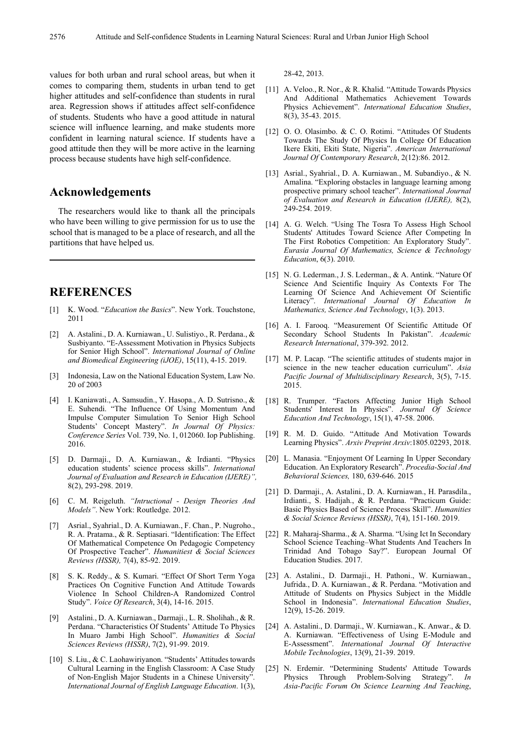values for both urban and rural school areas, but when it comes to comparing them, students in urban tend to get higher attitudes and self-confidence than students in rural area. Regression shows if attitudes affect self-confidence of students. Students who have a good attitude in natural science will influence learning, and make students more confident in learning natural science. If students have a good attitude then they will be more active in the learning process because students have high self-confidence.

# **Acknowledgements**

The researchers would like to thank all the principals who have been willing to give permission for us to use the school that is managed to be a place of research, and all the partitions that have helped us.

## **REFERENCES**

- [1] K. Wood. "*Education the Basics*". New York. Touchstone, 2011
- [2] A. Astalini., D. A. Kurniawan., U. Sulistiyo., R. Perdana., & Susbiyanto. "E-Assessment Motivation in Physics Subjects for Senior High School". *International Journal of Online and Biomedical Engineering (iJOE)*, 15(11), 4-15. 2019.
- [3] Indonesia, Law on the National Education System, Law No. 20 of 2003
- [4] I. Kaniawati., A. Samsudin., Y. Hasopa., A. D. Sutrisno., & E. Suhendi. "The Influence Of Using Momentum And Impulse Computer Simulation To Senior High School Students' Concept Mastery". *In Journal Of Physics: Conference Series* Vol. 739, No. 1, 012060. Iop Publishing. 2016.
- [5] D. Darmaji., D. A. Kurniawan., & Irdianti. "Physics education students' science process skills". *International Journal of Evaluation and Research in Education (IJERE)",* 8(2), 293-298. 2019.
- [6] C. M. Reigeluth. *"Intructional - Design Theories And Models"*. New York: Routledge. 2012.
- [7] Asrial., Syahrial., D. A. Kurniawan., F. Chan., P. Nugroho., R. A. Pratama., & R. Septiasari. "Identification: The Effect Of Mathematical Competence On Pedagogic Competency Of Prospective Teacher". *Humanitiest & Social Sciences Reviews (HSSR),* 7(4), 85-92. 2019.
- S. K. Reddy., & S. Kumari. "Effect Of Short Term Yoga Practices On Cognitive Function And Attitude Towards Violence In School Children-A Randomized Control Study". *Voice Of Research*, 3(4), 14-16. 2015.
- [9] Astalini., D. A. Kurniawan., Darmaji., L. R. Sholihah., & R. Perdana. "Characteristics Of Students' Attitude To Physics In Muaro Jambi High School". *Humanities & Social Sciences Reviews (HSSR)*, 7(2), 91-99. 2019.
- [10] S. Liu., & C. Laohawiriyanon. "Students' Attitudes towards Cultural Learning in the English Classroom: A Case Study of Non-English Major Students in a Chinese University". *International Journal of English Language Education*. 1(3),

28-42, 2013.

- [11] A. Veloo., R. Nor., & R. Khalid. "Attitude Towards Physics And Additional Mathematics Achievement Towards Physics Achievement". *International Education Studies*, 8(3), 35-43. 2015.
- [12] O. O. Olasimbo. & C. O. Rotimi. "Attitudes Of Students Towards The Study Of Physics In College Of Education Ikere Ekiti, Ekiti State, Nigeria". *American International Journal Of Contemporary Research*, 2(12):86. 2012.
- [13] Asrial., Syahrial., D. A. Kurniawan., M. Subandiyo., & N. Amalina. "Exploring obstacles in language learning among prospective primary school teacher". *International Journal of Evaluation and Research in Education (IJERE),* 8(2), 249-254. 2019.
- [14] A. G. Welch. "Using The Tosra To Assess High School Students' Attitudes Toward Science After Competing In The First Robotics Competition: An Exploratory Study". *Eurasia Journal Of Mathematics, Science & Technology Education*, 6(3). 2010.
- [15] N. G. Lederman., J. S. Lederman., & A. Antink. "Nature Of Science And Scientific Inquiry As Contexts For The Learning Of Science And Achievement Of Scientific Literacy". *International Journal Of Education In Mathematics, Science And Technology*, 1(3). 2013.
- [16] A. I. Farooq. "Measurement Of Scientific Attitude Of Secondary School Students In Pakistan". *Academic Research International*, 379-392. 2012.
- [17] M. P. Lacap. "The scientific attitudes of students major in science in the new teacher education curriculum". *Asia Pacific Journal of Multidisciplinary Research*, 3(5), 7-15. 2015.
- [18] R. Trumper. "Factors Affecting Junior High School Students' Interest In Physics". *Journal Of Science Education And Technology*, 15(1), 47-58. 2006.
- [19] R. M. D. Guido. "Attitude And Motivation Towards Learning Physics". *Arxiv Preprint Arxiv*:1805.02293, 2018.
- [20] L. Manasia. "Enjoyment Of Learning In Upper Secondary Education. An Exploratory Research". *Procedia-Social And Behavioral Sciences,* 180, 639-646. 2015
- [21] D. Darmaji., A. Astalini., D. A. Kurniawan., H. Parasdila., Irdianti., S. Hadijah., & R. Perdana. "Practicum Guide: Basic Physics Based of Science Process Skill". *Humanities & Social Science Reviews (HSSR)*, 7(4), 151-160. 2019.
- [22] R. Maharaj-Sharma., & A. Sharma. "Using Ict In Secondary School Science Teaching–What Students And Teachers In Trinidad And Tobago Say?". European Journal Of Education Studies. 2017.
- [23] A. Astalini., D. Darmaji., H. Pathoni., W. Kurniawan., Jufrida., D. A. Kurniawan., & R. Perdana. "Motivation and Attitude of Students on Physics Subject in the Middle School in Indonesia". *International Education Studies*, 12(9), 15-26. 2019.
- [24] A. Astalini., D. Darmaji., W. Kurniawan., K. Anwar., & D. A. Kurniawan. "Effectiveness of Using E-Module and E-Assessment". *International Journal Of Interactive Mobile Technologies*, 13(9), 21-39. 2019.
- [25] N. Erdemir. "Determining Students' Attitude Towards Physics Through Problem-Solving Strategy". *In Asia-Pacific Forum On Science Learning And Teaching*,